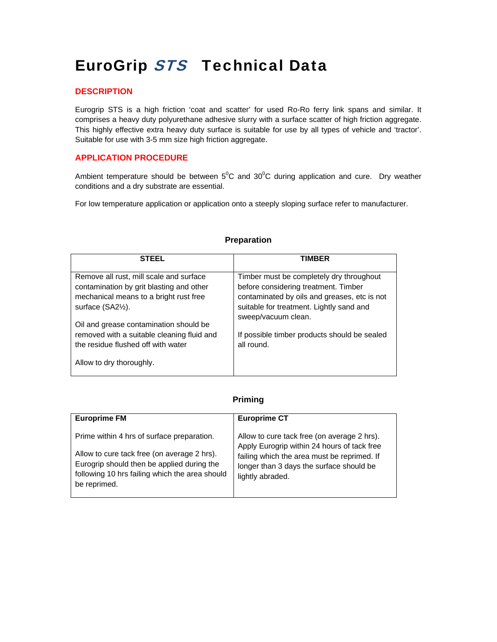# EuroGrip STS Technical Data

# **DESCRIPTION**

Eurogrip STS is a high friction 'coat and scatter' for used Ro-Ro ferry link spans and similar. It comprises a heavy duty polyurethane adhesive slurry with a surface scatter of high friction aggregate. This highly effective extra heavy duty surface is suitable for use by all types of vehicle and 'tractor'. Suitable for use with 3-5 mm size high friction aggregate.

# **APPLICATION PROCEDURE**

Ambient temperature should be between  $5^0C$  and  $30^0C$  during application and cure. Dry weather conditions and a dry substrate are essential.

For low temperature application or application onto a steeply sloping surface refer to manufacturer.

| <b>STEEL</b>                                                                                                                                                  | TIMBER                                                                                                                                                                                              |
|---------------------------------------------------------------------------------------------------------------------------------------------------------------|-----------------------------------------------------------------------------------------------------------------------------------------------------------------------------------------------------|
| Remove all rust, mill scale and surface<br>contamination by grit blasting and other<br>mechanical means to a bright rust free<br>surface $(SA2\frac{1}{2})$ . | Timber must be completely dry throughout<br>before considering treatment. Timber<br>contaminated by oils and greases, etc is not<br>suitable for treatment. Lightly sand and<br>sweep/vacuum clean. |
| Oil and grease contamination should be<br>removed with a suitable cleaning fluid and<br>the residue flushed off with water<br>Allow to dry thoroughly.        | If possible timber products should be sealed<br>all round.                                                                                                                                          |

### **Preparation**

## **Priming**

| <b>Europrime FM</b>                            | <b>Europrime CT</b>                         |
|------------------------------------------------|---------------------------------------------|
| Prime within 4 hrs of surface preparation.     | Allow to cure tack free (on average 2 hrs). |
| Allow to cure tack free (on average 2 hrs).    | Apply Eurogrip within 24 hours of tack free |
| Eurogrip should then be applied during the     | failing which the area must be reprimed. If |
| following 10 hrs failing which the area should | longer than 3 days the surface should be    |
| be reprimed.                                   | lightly abraded.                            |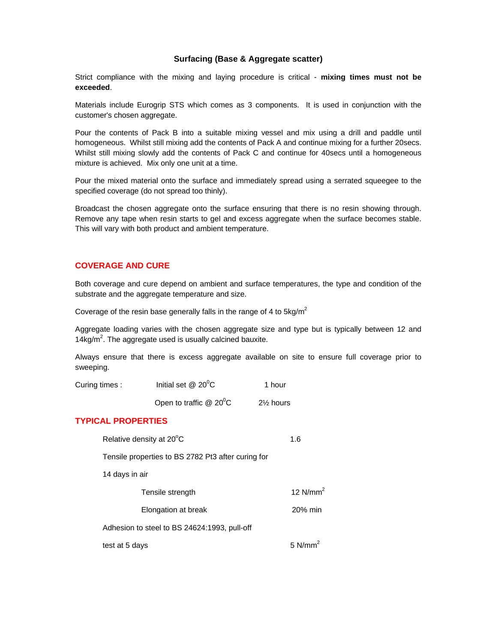#### **Surfacing (Base & Aggregate scatter)**

Strict compliance with the mixing and laying procedure is critical - **mixing times must not be exceeded**.

Materials include Eurogrip STS which comes as 3 components. It is used in conjunction with the customer's chosen aggregate.

Pour the contents of Pack B into a suitable mixing vessel and mix using a drill and paddle until homogeneous. Whilst still mixing add the contents of Pack A and continue mixing for a further 20secs. Whilst still mixing slowly add the contents of Pack C and continue for 40secs until a homogeneous mixture is achieved. Mix only one unit at a time.

Pour the mixed material onto the surface and immediately spread using a serrated squeegee to the specified coverage (do not spread too thinly).

Broadcast the chosen aggregate onto the surface ensuring that there is no resin showing through. Remove any tape when resin starts to gel and excess aggregate when the surface becomes stable. This will vary with both product and ambient temperature.

#### **COVERAGE AND CURE**

Both coverage and cure depend on ambient and surface temperatures, the type and condition of the substrate and the aggregate temperature and size.

Coverage of the resin base generally falls in the range of 4 to  $5kg/m^2$ 

Aggregate loading varies with the chosen aggregate size and type but is typically between 12 and 14kg/ $m^2$ . The aggregate used is usually calcined bauxite.

Always ensure that there is excess aggregate available on site to ensure full coverage prior to sweeping.

| Curing times : | Initial set $@$ 20 ${}^{0}C$      | 1 hour               |
|----------------|-----------------------------------|----------------------|
|                | Open to traffic $@$ 20 ${}^{0}$ C | $2\frac{1}{2}$ hours |

## **TYPICAL PROPERTIES**

| Relative density at 20°C                           | 1.6                   |  |  |
|----------------------------------------------------|-----------------------|--|--|
| Tensile properties to BS 2782 Pt3 after curing for |                       |  |  |
| 14 days in air                                     |                       |  |  |
| Tensile strength                                   | 12 $N/mm2$            |  |  |
| Elongation at break                                | 20% min               |  |  |
| Adhesion to steel to BS 24624:1993, pull-off       |                       |  |  |
| test at 5 days                                     | $5$ N/mm <sup>2</sup> |  |  |